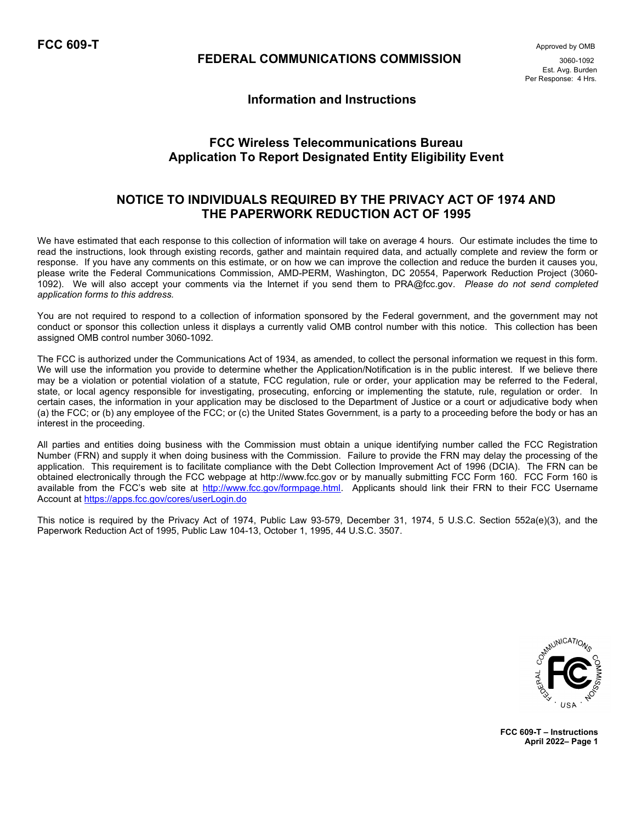$\mathsf{FCC}$  609-T  $\blacksquare$ 

## FEDERAL COMMUNICATIONS COMMISSION 3060-1092

 Est. Avg. Burden Per Response: 4 Hrs.

## Information and Instructions

# FCC Wireless Telecommunications Bureau Application To Report Designated Entity Eligibility Event

# NOTICE TO INDIVIDUALS REQUIRED BY THE PRIVACY ACT OF 1974 AND THE PAPERWORK REDUCTION ACT OF 1995

We have estimated that each response to this collection of information will take on average 4 hours. Our estimate includes the time to read the instructions, look through existing records, gather and maintain required data, and actually complete and review the form or response. If you have any comments on this estimate, or on how we can improve the collection and reduce the burden it causes you, please write the Federal Communications Commission, AMD-PERM, Washington, DC 20554, Paperwork Reduction Project (3060- 1092). We will also accept your comments via the Internet if you send them to PRA@fcc.gov. Please do not send completed application forms to this address.

You are not required to respond to a collection of information sponsored by the Federal government, and the government may not conduct or sponsor this collection unless it displays a currently valid OMB control number with this notice. This collection has been assigned OMB control number 3060-1092.

The FCC is authorized under the Communications Act of 1934, as amended, to collect the personal information we request in this form. We will use the information you provide to determine whether the Application/Notification is in the public interest. If we believe there may be a violation or potential violation of a statute, FCC regulation, rule or order, your application may be referred to the Federal, state, or local agency responsible for investigating, prosecuting, enforcing or implementing the statute, rule, regulation or order. In certain cases, the information in your application may be disclosed to the Department of Justice or a court or adjudicative body when (a) the FCC; or (b) any employee of the FCC; or (c) the United States Government, is a party to a proceeding before the body or has an interest in the proceeding.

All parties and entities doing business with the Commission must obtain a unique identifying number called the FCC Registration Number (FRN) and supply it when doing business with the Commission. Failure to provide the FRN may delay the processing of the application. This requirement is to facilitate compliance with the Debt Collection Improvement Act of 1996 (DCIA). The FRN can be obtained electronically through the FCC webpage at http://www.fcc.gov or by manually submitting FCC Form 160. FCC Form 160 is available from the FCC's web site at http://www.fcc.gov/formpage.html. Applicants should link their FRN to their FCC Username Account at https://apps.fcc.gov/cores/userLogin.do

This notice is required by the Privacy Act of 1974, Public Law 93-579, December 31, 1974, 5 U.S.C. Section 552a(e)(3), and the Paperwork Reduction Act of 1995, Public Law 104-13, October 1, 1995, 44 U.S.C. 3507.



FCC 609-T – Instructions April 2022– Page 1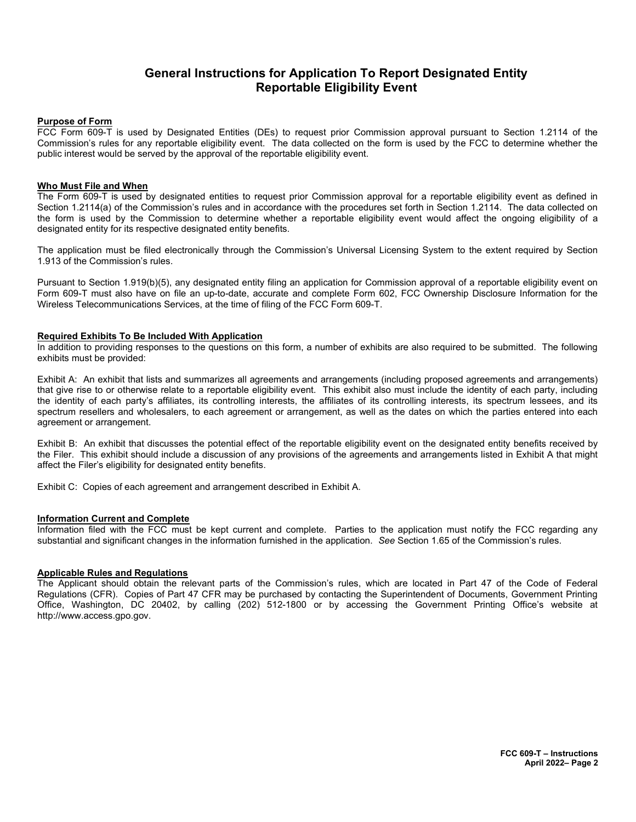# General Instructions for Application To Report Designated Entity Reportable Eligibility Event

### Purpose of Form

FCC Form 609-T is used by Designated Entities (DEs) to request prior Commission approval pursuant to Section 1.2114 of the Commission's rules for any reportable eligibility event. The data collected on the form is used by the FCC to determine whether the public interest would be served by the approval of the reportable eligibility event.

#### Who Must File and When

The Form 609-T is used by designated entities to request prior Commission approval for a reportable eligibility event as defined in Section 1.2114(a) of the Commission's rules and in accordance with the procedures set forth in Section 1.2114. The data collected on the form is used by the Commission to determine whether a reportable eligibility event would affect the ongoing eligibility of a designated entity for its respective designated entity benefits.

The application must be filed electronically through the Commission's Universal Licensing System to the extent required by Section 1.913 of the Commission's rules.

Pursuant to Section 1.919(b)(5), any designated entity filing an application for Commission approval of a reportable eligibility event on Form 609-T must also have on file an up-to-date, accurate and complete Form 602, FCC Ownership Disclosure Information for the Wireless Telecommunications Services, at the time of filing of the FCC Form 609-T.

#### Required Exhibits To Be Included With Application

In addition to providing responses to the questions on this form, a number of exhibits are also required to be submitted. The following exhibits must be provided:

Exhibit A: An exhibit that lists and summarizes all agreements and arrangements (including proposed agreements and arrangements) that give rise to or otherwise relate to a reportable eligibility event. This exhibit also must include the identity of each party, including the identity of each party's affiliates, its controlling interests, the affiliates of its controlling interests, its spectrum lessees, and its spectrum resellers and wholesalers, to each agreement or arrangement, as well as the dates on which the parties entered into each agreement or arrangement.

Exhibit B: An exhibit that discusses the potential effect of the reportable eligibility event on the designated entity benefits received by the Filer. This exhibit should include a discussion of any provisions of the agreements and arrangements listed in Exhibit A that might affect the Filer's eligibility for designated entity benefits.

Exhibit C: Copies of each agreement and arrangement described in Exhibit A.

### Information Current and Complete

Information filed with the FCC must be kept current and complete. Parties to the application must notify the FCC regarding any substantial and significant changes in the information furnished in the application. See Section 1.65 of the Commission's rules.

#### Applicable Rules and Regulations

The Applicant should obtain the relevant parts of the Commission's rules, which are located in Part 47 of the Code of Federal Regulations (CFR). Copies of Part 47 CFR may be purchased by contacting the Superintendent of Documents, Government Printing Office, Washington, DC 20402, by calling (202) 512-1800 or by accessing the Government Printing Office's website at http://www.access.gpo.gov.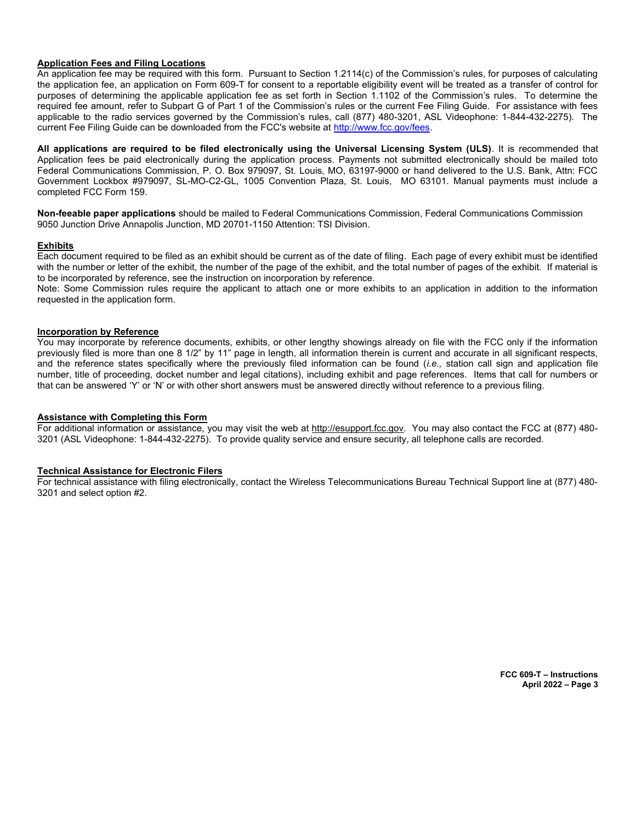### Application Fees and Filing Locations

An application fee may be required with this form. Pursuant to Section 1.2114(c) of the Commission's rules, for purposes of calculating the application fee, an application on Form 609-T for consent to a reportable eligibility event will be treated as a transfer of control for purposes of determining the applicable application fee as set forth in Section 1.1102 of the Commission's rules. To determine the required fee amount, refer to Subpart G of Part 1 of the Commission's rules or the current Fee Filing Guide. For assistance with fees applicable to the radio services governed by the Commission's rules, call (877) 480-3201, ASL Videophone: 1-844-432-2275). The current Fee Filing Guide can be downloaded from the FCC's website at http://www.fcc.gov/fees.

All applications are required to be filed electronically using the Universal Licensing System (ULS). It is recommended that Application fees be paid electronically during the application process. Payments not submitted electronically should be mailed toto Federal Communications Commission, P. O. Box 979097, St. Louis, MO, 63197-9000 or hand delivered to the U.S. Bank, Attn: FCC Government Lockbox #979097, SL-MO-C2-GL, 1005 Convention Plaza, St. Louis, MO 63101. Manual payments must include a completed FCC Form 159.

Non-feeable paper applications should be mailed to Federal Communications Commission, Federal Communications Commission 9050 Junction Drive Annapolis Junction, MD 20701-1150 Attention: TSI Division.

### Exhibits

Each document required to be filed as an exhibit should be current as of the date of filing. Each page of every exhibit must be identified with the number or letter of the exhibit, the number of the page of the exhibit, and the total number of pages of the exhibit. If material is to be incorporated by reference, see the instruction on incorporation by reference.

Note: Some Commission rules require the applicant to attach one or more exhibits to an application in addition to the information requested in the application form.

#### Incorporation by Reference

You may incorporate by reference documents, exhibits, or other lengthy showings already on file with the FCC only if the information previously filed is more than one 8 1/2" by 11" page in length, all information therein is current and accurate in all significant respects, and the reference states specifically where the previously filed information can be found (*i.e.*, station call sign and application file number, title of proceeding, docket number and legal citations), including exhibit and page references. Items that call for numbers or that can be answered 'Y' or 'N' or with other short answers must be answered directly without reference to a previous filing.

#### Assistance with Completing this Form

For additional information or assistance, you may visit the web at http://esupport.fcc.gov. You may also contact the FCC at (877) 480-3201 (ASL Videophone: 1-844-432-2275). To provide quality service and ensure security, all telephone calls are recorded.

#### Technical Assistance for Electronic Filers

For technical assistance with filing electronically, contact the Wireless Telecommunications Bureau Technical Support line at (877) 480- 3201 and select option #2.

> FCC 609-T – Instructions April 2022 – Page 3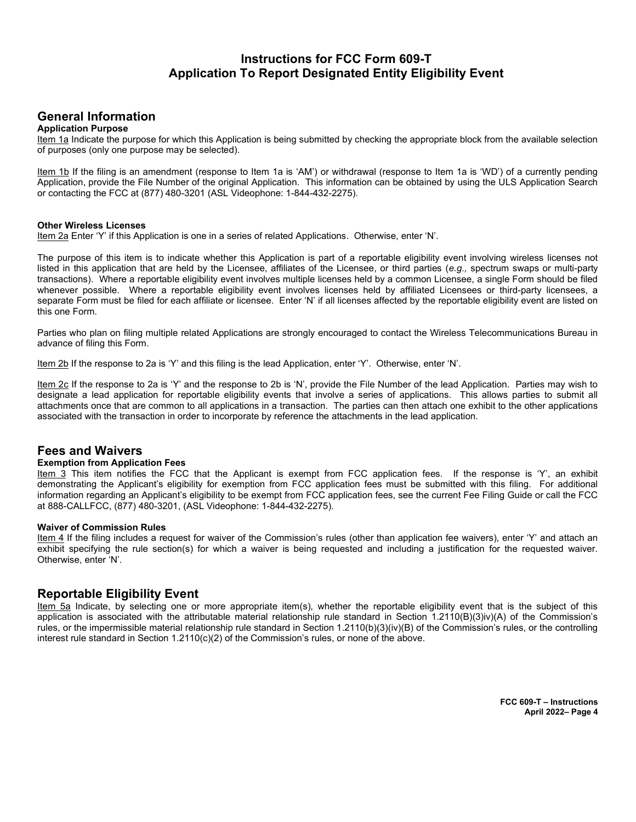# Instructions for FCC Form 609-T Application To Report Designated Entity Eligibility Event

## General Information

### Application Purpose

Item 1a Indicate the purpose for which this Application is being submitted by checking the appropriate block from the available selection of purposes (only one purpose may be selected).

Item 1b If the filing is an amendment (response to Item 1a is 'AM') or withdrawal (response to Item 1a is 'WD') of a currently pending Application, provide the File Number of the original Application. This information can be obtained by using the ULS Application Search or contacting the FCC at (877) 480-3201 (ASL Videophone: 1-844-432-2275).

#### Other Wireless Licenses

Item 2a Enter 'Y' if this Application is one in a series of related Applications. Otherwise, enter 'N'.

The purpose of this item is to indicate whether this Application is part of a reportable eligibility event involving wireless licenses not listed in this application that are held by the Licensee, affiliates of the Licensee, or third parties (e.g., spectrum swaps or multi-party transactions). Where a reportable eligibility event involves multiple licenses held by a common Licensee, a single Form should be filed whenever possible. Where a reportable eligibility event involves licenses held by affiliated Licensees or third-party licensees, a separate Form must be filed for each affiliate or licensee. Enter 'N' if all licenses affected by the reportable eligibility event are listed on this one Form.

Parties who plan on filing multiple related Applications are strongly encouraged to contact the Wireless Telecommunications Bureau in advance of filing this Form.

Item 2b If the response to 2a is 'Y' and this filing is the lead Application, enter 'Y'. Otherwise, enter 'N'.

Item 2c If the response to 2a is 'Y' and the response to 2b is 'N', provide the File Number of the lead Application. Parties may wish to designate a lead application for reportable eligibility events that involve a series of applications. This allows parties to submit all attachments once that are common to all applications in a transaction. The parties can then attach one exhibit to the other applications associated with the transaction in order to incorporate by reference the attachments in the lead application.

## Fees and Waivers

#### Exemption from Application Fees

Item 3 This item notifies the FCC that the Applicant is exempt from FCC application fees. If the response is 'Y', an exhibit demonstrating the Applicant's eligibility for exemption from FCC application fees must be submitted with this filing. For additional information regarding an Applicant's eligibility to be exempt from FCC application fees, see the current Fee Filing Guide or call the FCC at 888-CALLFCC, (877) 480-3201, (ASL Videophone: 1-844-432-2275).

#### Waiver of Commission Rules

Item 4 If the filing includes a request for waiver of the Commission's rules (other than application fee waivers), enter 'Y' and attach an exhibit specifying the rule section(s) for which a waiver is being requested and including a justification for the requested waiver. Otherwise, enter 'N'.

## Reportable Eligibility Event

Item 5a Indicate, by selecting one or more appropriate item(s), whether the reportable eligibility event that is the subject of this application is associated with the attributable material relationship rule standard in Section 1.2110(B)(3)iv)(A) of the Commission's rules, or the impermissible material relationship rule standard in Section 1.2110(b)(3)(iv)(B) of the Commission's rules, or the controlling interest rule standard in Section 1.2110(c)(2) of the Commission's rules, or none of the above.

> FCC 609-T – Instructions April 2022– Page 4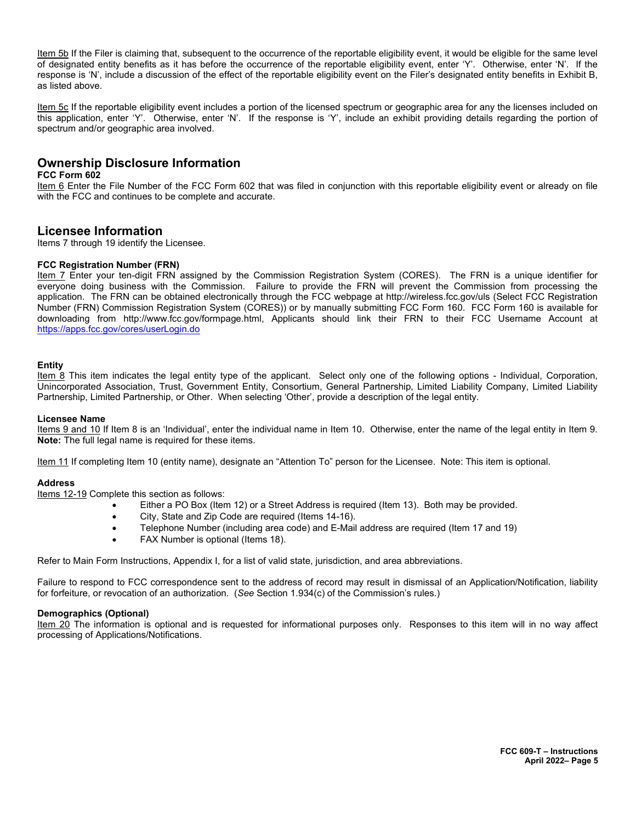Item 5b If the Filer is claiming that, subsequent to the occurrence of the reportable eligibility event, it would be eligible for the same level of designated entity benefits as it has before the occurrence of the reportable eligibility event, enter 'Y'. Otherwise, enter 'N'. If the response is 'N', include a discussion of the effect of the reportable eligibility event on the Filer's designated entity benefits in Exhibit B, as listed above.

Item 5c If the reportable eligibility event includes a portion of the licensed spectrum or geographic area for any the licenses included on this application, enter 'Y'. Otherwise, enter 'N'. If the response is 'Y', include an exhibit providing details regarding the portion of spectrum and/or geographic area involved.

# Ownership Disclosure Information

### FCC Form 602

Item 6 Enter the File Number of the FCC Form 602 that was filed in conjunction with this reportable eligibility event or already on file with the FCC and continues to be complete and accurate.

## Licensee Information

Items 7 through 19 identify the Licensee.

### FCC Registration Number (FRN)

Item 7 Enter your ten-digit FRN assigned by the Commission Registration System (CORES). The FRN is a unique identifier for everyone doing business with the Commission. Failure to provide the FRN will prevent the Commission from processing the application. The FRN can be obtained electronically through the FCC webpage at http://wireless.fcc.gov/uls (Select FCC Registration Number (FRN) Commission Registration System (CORES)) or by manually submitting FCC Form 160. FCC Form 160 is available for downloading from http://www.fcc.gov/formpage.html, Applicants should link their FRN to their FCC Username Account at https://apps.fcc.gov/cores/userLogin.do

#### Entity

Item 8 This item indicates the legal entity type of the applicant. Select only one of the following options - Individual, Corporation, Unincorporated Association, Trust, Government Entity, Consortium, General Partnership, Limited Liability Company, Limited Liability Partnership, Limited Partnership, or Other. When selecting 'Other', provide a description of the legal entity.

#### Licensee Name

Items 9 and 10 If Item 8 is an 'Individual', enter the individual name in Item 10. Otherwise, enter the name of the legal entity in Item 9. Note: The full legal name is required for these items.

Item 11 If completing Item 10 (entity name), designate an "Attention To" person for the Licensee. Note: This item is optional.

#### Address

Items 12-19 Complete this section as follows:

- Either a PO Box (Item 12) or a Street Address is required (Item 13). Both may be provided.
- City, State and Zip Code are required (Items 14-16).
- Telephone Number (including area code) and E-Mail address are required (Item 17 and 19)
- FAX Number is optional (Items 18).

Refer to Main Form Instructions, Appendix I, for a list of valid state, jurisdiction, and area abbreviations.

Failure to respond to FCC correspondence sent to the address of record may result in dismissal of an Application/Notification, liability for forfeiture, or revocation of an authorization. (See Section 1.934(c) of the Commission's rules.)

#### Demographics (Optional)

Item 20 The information is optional and is requested for informational purposes only. Responses to this item will in no way affect processing of Applications/Notifications.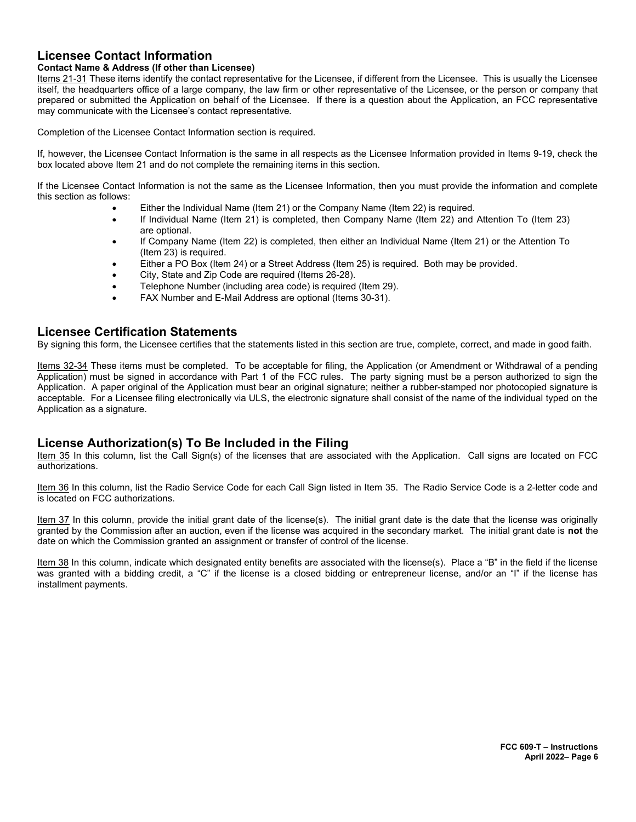# Licensee Contact Information

### Contact Name & Address (If other than Licensee)

Items 21-31 These items identify the contact representative for the Licensee, if different from the Licensee. This is usually the Licensee itself, the headquarters office of a large company, the law firm or other representative of the Licensee, or the person or company that prepared or submitted the Application on behalf of the Licensee. If there is a question about the Application, an FCC representative may communicate with the Licensee's contact representative.

Completion of the Licensee Contact Information section is required.

If, however, the Licensee Contact Information is the same in all respects as the Licensee Information provided in Items 9-19, check the box located above Item 21 and do not complete the remaining items in this section.

If the Licensee Contact Information is not the same as the Licensee Information, then you must provide the information and complete this section as follows:

- Either the Individual Name (Item 21) or the Company Name (Item 22) is required.
- If Individual Name (Item 21) is completed, then Company Name (Item 22) and Attention To (Item 23) are optional.
- If Company Name (Item 22) is completed, then either an Individual Name (Item 21) or the Attention To (Item 23) is required.
- Either a PO Box (Item 24) or a Street Address (Item 25) is required. Both may be provided.
- City, State and Zip Code are required (Items 26-28).
- Telephone Number (including area code) is required (Item 29).
- FAX Number and E-Mail Address are optional (Items 30-31).

## Licensee Certification Statements

By signing this form, the Licensee certifies that the statements listed in this section are true, complete, correct, and made in good faith.

Items 32-34 These items must be completed. To be acceptable for filing, the Application (or Amendment or Withdrawal of a pending Application) must be signed in accordance with Part 1 of the FCC rules. The party signing must be a person authorized to sign the Application. A paper original of the Application must bear an original signature; neither a rubber-stamped nor photocopied signature is acceptable. For a Licensee filing electronically via ULS, the electronic signature shall consist of the name of the individual typed on the Application as a signature.

## License Authorization(s) To Be Included in the Filing

Item 35 In this column, list the Call Sign(s) of the licenses that are associated with the Application. Call signs are located on FCC authorizations.

Item 36 In this column, list the Radio Service Code for each Call Sign listed in Item 35. The Radio Service Code is a 2-letter code and is located on FCC authorizations.

Item 37 In this column, provide the initial grant date of the license(s). The initial grant date is the date that the license was originally granted by the Commission after an auction, even if the license was acquired in the secondary market. The initial grant date is not the date on which the Commission granted an assignment or transfer of control of the license.

Item 38 In this column, indicate which designated entity benefits are associated with the license(s). Place a "B" in the field if the license was granted with a bidding credit, a "C" if the license is a closed bidding or entrepreneur license, and/or an "I" if the license has installment payments.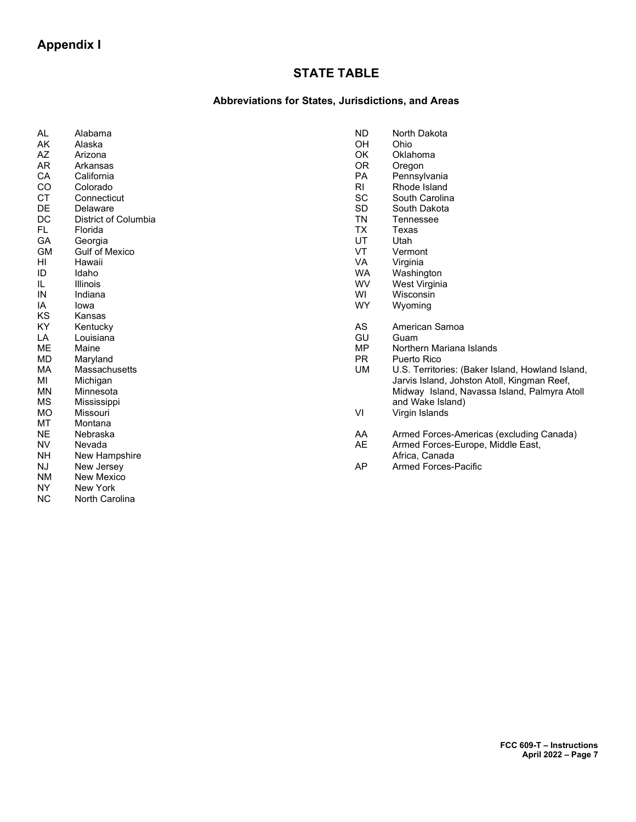# STATE TABLE

# Abbreviations for States, Jurisdictions, and Areas

| AL        | Alabama               | <b>ND</b>      | North Dakota                                                                                    |
|-----------|-----------------------|----------------|-------------------------------------------------------------------------------------------------|
| AK        | Alaska                | <b>OH</b>      | Ohio                                                                                            |
| AZ        | Arizona               | OK             | Oklahoma                                                                                        |
| AR        | Arkansas              | <b>OR</b>      | Oregon                                                                                          |
| CA        | California            | PA             | Pennsylvania                                                                                    |
| CO        | Colorado              | R <sub>l</sub> | Rhode Island                                                                                    |
| <b>CT</b> | Connecticut           | <b>SC</b>      | South Carolina                                                                                  |
| DE        | Delaware              | <b>SD</b>      | South Dakota                                                                                    |
| DC        | District of Columbia  | <b>TN</b>      | Tennessee                                                                                       |
| FL.       | Florida               | <b>TX</b>      | Texas                                                                                           |
| GA        | Georgia               | UT             | Utah                                                                                            |
| <b>GM</b> | <b>Gulf of Mexico</b> | VT             | Vermont                                                                                         |
| HI        | Hawaii                | <b>VA</b>      | Virginia                                                                                        |
| ID        | Idaho                 | <b>WA</b>      | Washington                                                                                      |
| IL.       | <b>Illinois</b>       | WV             | West Virginia                                                                                   |
| IN        | Indiana               | WI             | Wisconsin                                                                                       |
| IA        | lowa                  | <b>WY</b>      | Wyoming                                                                                         |
| KS        | Kansas                |                |                                                                                                 |
| KY        | Kentucky              | AS             | American Samoa                                                                                  |
| LA        | Louisiana             | GU             | Guam                                                                                            |
| <b>ME</b> | Maine                 | <b>MP</b>      | Northern Mariana Islands                                                                        |
| <b>MD</b> | Maryland              | <b>PR</b>      | Puerto Rico                                                                                     |
| MA.       | Massachusetts         | UM             |                                                                                                 |
| MI        |                       |                | U.S. Territories: (Baker Island, Howland Island,<br>Jarvis Island, Johston Atoll, Kingman Reef, |
| <b>MN</b> | Michigan              |                |                                                                                                 |
|           | Minnesota             |                | Midway Island, Navassa Island, Palmyra Atoll                                                    |
| МS        | Mississippi           |                | and Wake Island)                                                                                |
| <b>MO</b> | Missouri              | VI             | Virgin Islands                                                                                  |
| MT        | Montana               |                |                                                                                                 |
| <b>NE</b> | Nebraska              | AA             | Armed Forces-Americas (excluding Canada)                                                        |
| NV.       | Nevada                | <b>AE</b>      | Armed Forces-Europe, Middle East,                                                               |
| <b>NH</b> | New Hampshire         |                | Africa, Canada                                                                                  |
| NJ        | New Jersey            | <b>AP</b>      | <b>Armed Forces-Pacific</b>                                                                     |
| <b>NM</b> | <b>New Mexico</b>     |                |                                                                                                 |
| <b>NY</b> | <b>New York</b>       |                |                                                                                                 |
| <b>NC</b> | North Carolina        |                |                                                                                                 |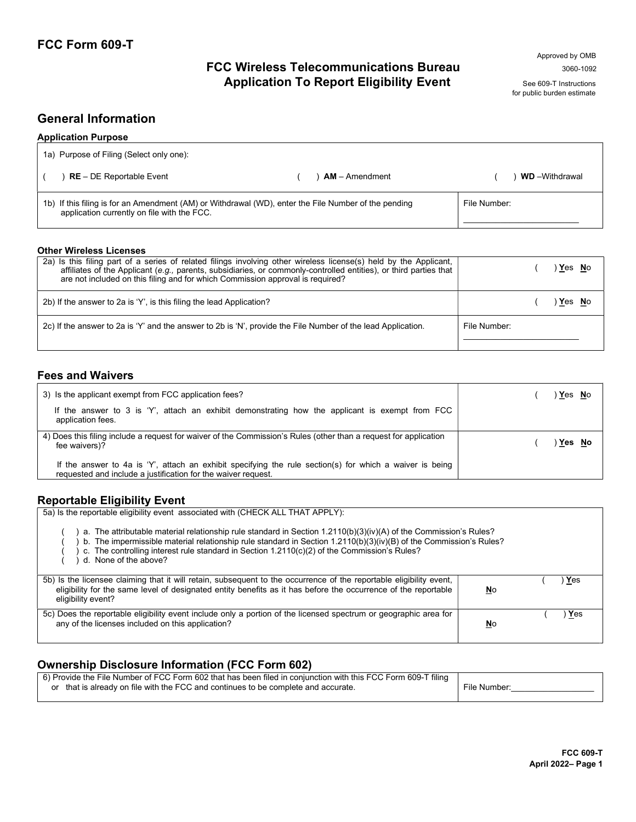# FCC Wireless Telecommunications Bureau 3060-1092 Application To Report Eligibility Event See 609-T Instructions

for public burden estimate

# General Information

| <b>Application Purpose</b>                                                                                                                          |  |                  |              |                       |  |  |  |
|-----------------------------------------------------------------------------------------------------------------------------------------------------|--|------------------|--------------|-----------------------|--|--|--|
| 1a) Purpose of Filing (Select only one):                                                                                                            |  |                  |              |                       |  |  |  |
| $RE - DE Reporthable Event$                                                                                                                         |  | $AM -$ Amendment |              | <b>WD</b> -Withdrawal |  |  |  |
| 1b) If this filing is for an Amendment (AM) or Withdrawal (WD), enter the File Number of the pending<br>application currently on file with the FCC. |  |                  | File Number: |                       |  |  |  |

### Other Wireless Licenses

| 2a) Is this filing part of a series of related filings involving other wireless license(s) held by the Applicant,<br>affiliates of the Applicant (e.g., parents, subsidiaries, or commonly-controlled entities), or third parties that<br>are not included on this filing and for which Commission approval is required? |              | Yes No |  |
|--------------------------------------------------------------------------------------------------------------------------------------------------------------------------------------------------------------------------------------------------------------------------------------------------------------------------|--------------|--------|--|
| 2b) If the answer to 2a is 'Y', is this filing the lead Application?                                                                                                                                                                                                                                                     |              | Yes No |  |
| 2c) If the answer to 2a is 'Y' and the answer to 2b is 'N', provide the File Number of the lead Application.                                                                                                                                                                                                             | File Number: |        |  |

## Fees and Waivers

| 3) Is the applicant exempt from FCC application fees?<br>If the answer to 3 is 'Y', attach an exhibit demonstrating how the applicant is exempt from FCC<br>application fees. | Yes No |
|-------------------------------------------------------------------------------------------------------------------------------------------------------------------------------|--------|
| 4) Does this filing include a request for waiver of the Commission's Rules (other than a request for application<br>fee waivers)?                                             | Yes No |
| If the answer to 4a is 'Y', attach an exhibit specifying the rule section(s) for which a waiver is being<br>requested and include a justification for the waiver request.     |        |

# Reportable Eligibility Event

| 5a) Is the reportable eligibility event associated with (CHECK ALL THAT APPLY):                                                                                                                                                                                                                                                                                  |           |       |  |  |  |  |
|------------------------------------------------------------------------------------------------------------------------------------------------------------------------------------------------------------------------------------------------------------------------------------------------------------------------------------------------------------------|-----------|-------|--|--|--|--|
| a. The attributable material relationship rule standard in Section 1.2110(b)(3)(iv)(A) of the Commission's Rules?<br>b. The impermissible material relationship rule standard in Section 1.2110(b)(3)(iv)(B) of the Commission's Rules?<br>c. The controlling interest rule standard in Section 1.2110(c)(2) of the Commission's Rules?<br>d. None of the above? |           |       |  |  |  |  |
| 5b) Is the licensee claiming that it will retain, subsequent to the occurrence of the reportable eligibility event,<br>eligibility for the same level of designated entity benefits as it has before the occurrence of the reportable<br>eligibility event?                                                                                                      | <b>No</b> | Yes   |  |  |  |  |
| 5c) Does the reportable eligibility event include only a portion of the licensed spectrum or geographic area for<br>any of the licenses included on this application?                                                                                                                                                                                            | <u>No</u> | ) Yes |  |  |  |  |

# Ownership Disclosure Information (FCC Form 602)

| 6) Provide the File Number of FCC Form 602 that has been filed in conjunction with this FCC Form 609-T filing |              |
|---------------------------------------------------------------------------------------------------------------|--------------|
| or that is already on file with the FCC and continues to be complete and accurate.                            | File Number: |
|                                                                                                               |              |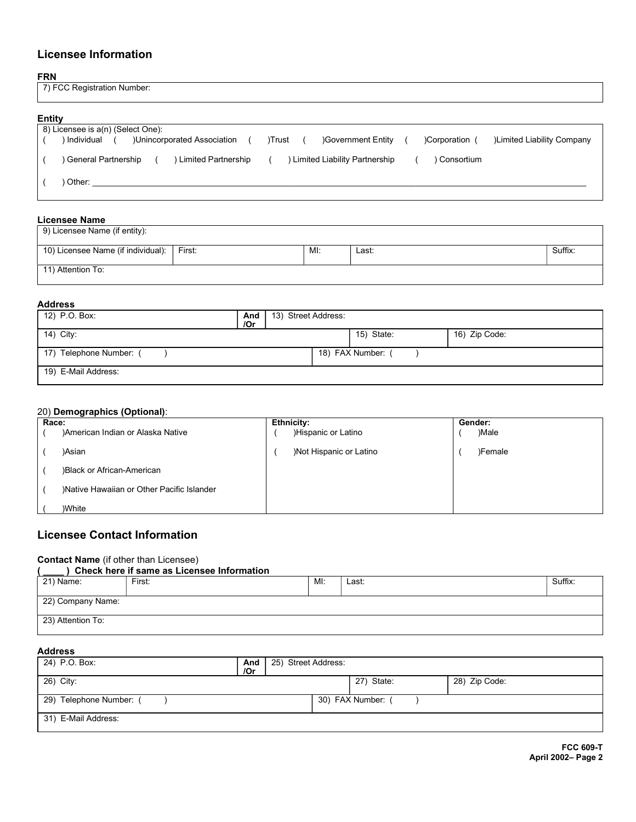# Licensee Information

#### FRN

| NL<br>imbel |  |
|-------------|--|
|             |  |

### Entity

| ------ |                                                                                                                         |
|--------|-------------------------------------------------------------------------------------------------------------------------|
|        | 8) Licensee is a(n) (Select One):                                                                                       |
|        | )Unincorporated Association<br>)Limited Liability Company<br>) Individual<br>Government Entity<br>Corporation<br>)Trust |
|        |                                                                                                                         |
|        | <b>Limited Liability Partnership</b><br>General Partnership<br>Limited Partnership<br>) Consortium                      |
|        |                                                                                                                         |
|        | Other:                                                                                                                  |
|        |                                                                                                                         |
|        |                                                                                                                         |

### Licensee Name

| 9) Licensee Name (if entity):      |        |     |       |         |
|------------------------------------|--------|-----|-------|---------|
| 10) Licensee Name (if individual): | First: | MI: | Last: | Suffix: |
| 11) Attention To:                  |        |     |       |         |

### Address

| 12) P.O. Box:           | And<br>/Or | 13) Street Address: |                   |               |  |
|-------------------------|------------|---------------------|-------------------|---------------|--|
| 14) City:               |            |                     | 15) State:        | 16) Zip Code: |  |
| 17) Telephone Number: ( |            |                     | 18) FAX Number: ( |               |  |
| 19) E-Mail Address:     |            |                     |                   |               |  |

## 20) Demographics (Optional):

| Race: |                                            | Ethnicity:              | Gender: |         |  |
|-------|--------------------------------------------|-------------------------|---------|---------|--|
|       | )American Indian or Alaska Native          | )Hispanic or Latino     |         | )Male   |  |
|       | )Asian                                     | )Not Hispanic or Latino |         | )Female |  |
|       | )Black or African-American                 |                         |         |         |  |
|       | )Native Hawaiian or Other Pacific Islander |                         |         |         |  |
|       | )White                                     |                         |         |         |  |

## Licensee Contact Information

## Contact Name (if other than Licensee)

|                   | Check here if same as Licensee Information |     |       |         |
|-------------------|--------------------------------------------|-----|-------|---------|
| 21) Name:         | First:                                     | MI: | Last: | Suffix: |
|                   |                                            |     |       |         |
| 22) Company Name: |                                            |     |       |         |
| 23) Attention To: |                                            |     |       |         |

# Address

| 24) P.O. Box:           | And<br>/Or | 25) Street Address: |                 |               |
|-------------------------|------------|---------------------|-----------------|---------------|
| 26) City:               |            |                     | 27) State:      | 28) Zip Code: |
| 29) Telephone Number: ( |            |                     | 30) FAX Number: |               |
| 31) E-Mail Address:     |            |                     |                 |               |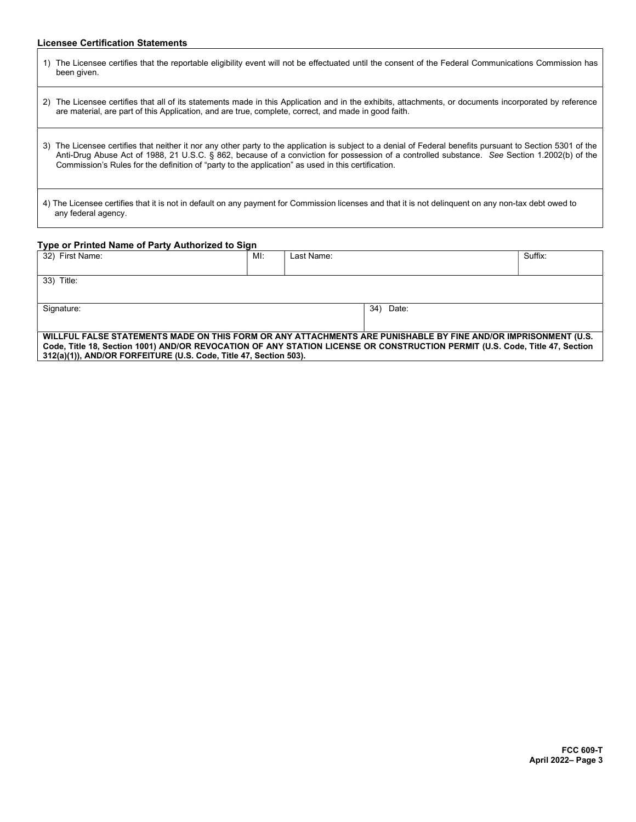## Licensee Certification Statements

| The Licensee certifies that the reportable eligibility event will not be effectuated until the consent of the Federal Communications Commission has<br>1)<br>been given.                                                                                                                                                                                                                                             |
|----------------------------------------------------------------------------------------------------------------------------------------------------------------------------------------------------------------------------------------------------------------------------------------------------------------------------------------------------------------------------------------------------------------------|
| The Licensee certifies that all of its statements made in this Application and in the exhibits, attachments, or documents incorporated by reference<br>2)<br>are material, are part of this Application, and are true, complete, correct, and made in good faith.                                                                                                                                                    |
| The Licensee certifies that neither it nor any other party to the application is subject to a denial of Federal benefits pursuant to Section 5301 of the<br>3)<br>Anti-Drug Abuse Act of 1988, 21 U.S.C. § 862, because of a conviction for possession of a controlled substance. See Section 1.2002(b) of the<br>Commission's Rules for the definition of "party to the application" as used in this certification. |
| 4) The Licensee certifies that it is not in default on any payment for Commission licenses and that it is not delinguent on any non-tax debt owed to<br>any federal agency.                                                                                                                                                                                                                                          |

### Type or Printed Name of Party Authorized to Sign

| 32) First Name:                                                                                                             | MI: | Last Name: |              | Suffix: |  |  |
|-----------------------------------------------------------------------------------------------------------------------------|-----|------------|--------------|---------|--|--|
|                                                                                                                             |     |            |              |         |  |  |
| 33) Title:                                                                                                                  |     |            |              |         |  |  |
|                                                                                                                             |     |            |              |         |  |  |
| Signature:                                                                                                                  |     |            | Date:<br>34) |         |  |  |
|                                                                                                                             |     |            |              |         |  |  |
| WILLFUL FALSE STATEMENTS MADE ON THIS FORM OR ANY ATTACHMENTS ARE PUNISHABLE BY FINE AND/OR IMPRISONMENT (U.S.              |     |            |              |         |  |  |
| Code, Title 18, Section 1001) AND/OR REVOCATION OF ANY STATION LICENSE OR CONSTRUCTION PERMIT (U.S. Code, Title 47, Section |     |            |              |         |  |  |
| 312(a)(1)), AND/OR FORFEITURE (U.S. Code, Title 47, Section 503).                                                           |     |            |              |         |  |  |